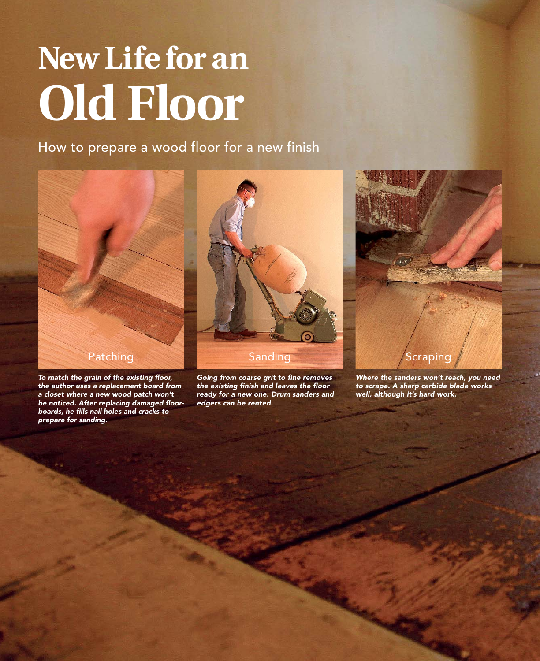# **New Life for an Old Floor**

How to prepare a wood floor for a new finish



*To match the grain of the existing floor, the author uses a replacement board from a closet where a new wood patch won't be noticed. After replacing damaged floorboards, he fills nail holes and cracks to prepare for sanding.*



*Going from coarse grit to fine removes the existing finish and leaves the floor ready for a new one. Drum sanders and edgers can be rented.*



*Where the sanders won't reach, you need to scrape. A sharp carbide blade works well, although it's hard work.*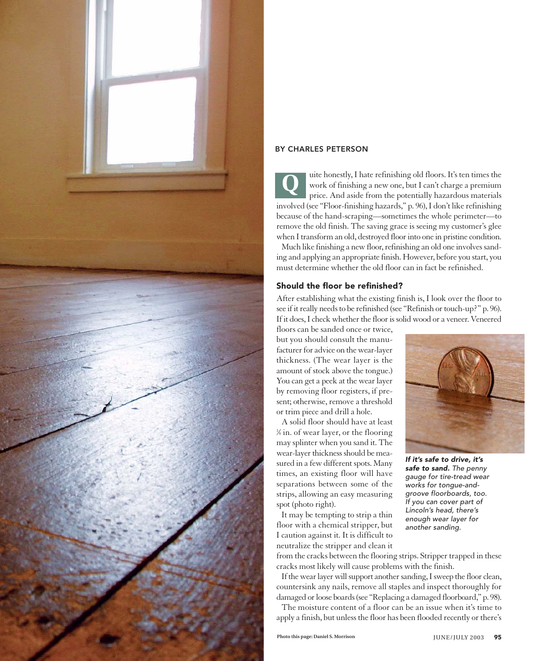

#### BY CHARLES PETERSON

uite honestly, I hate refinishing old floors. It's ten times the work of finishing a new one, but I can't charge a premium price. And aside from the potentially hazardous materials involved (see "Floor-finishing hazards," p. 96), I don't like refinishing because of the hand-scraping—sometimes the whole perimeter—to remove the old finish. The saving grace is seeing my customer's glee when I transform an old, destroyed floor into one in pristine condition. **Q**

Much like finishing a new floor, refinishing an old one involves sanding and applying an appropriate finish. However, before you start, you must determine whether the old floor can in fact be refinished.

#### Should the floor be refinished?

After establishing what the existing finish is, I look over the floor to see if it really needs to be refinished (see "Refinish or touch-up?" p. 96). If it does, I check whether the floor is solid wood or a veneer. Veneered

floors can be sanded once or twice, but you should consult the manufacturer for advice on the wear-layer thickness. (The wear layer is the amount of stock above the tongue.) You can get a peek at the wear layer by removing floor registers, if present; otherwise, remove a threshold or trim piece and drill a hole.

A solid floor should have at least 1 ⁄8 in. of wear layer, or the flooring may splinter when you sand it. The wear-layer thickness should be measured in a few different spots. Many times, an existing floor will have separations between some of the strips, allowing an easy measuring spot (photo right).

It may be tempting to strip a thin floor with a chemical stripper, but I caution against it. It is difficult to neutralize the stripper and clean it



*If it's safe to drive, it's safe to sand. The penny gauge for tire-tread wear works for tongue-andgroove floorboards, too. If you can cover part of Lincoln's head, there's enough wear layer for another sanding.*

from the cracks between the flooring strips. Stripper trapped in these cracks most likely will cause problems with the finish.

If the wear layer will support another sanding, I sweep the floor clean, countersink any nails, remove all staples and inspect thoroughly for damaged or loose boards (see "Replacing a damaged floorboard," p. 98).

The moisture content of a floor can be an issue when it's time to apply a finish, but unless the floor has been flooded recently or there's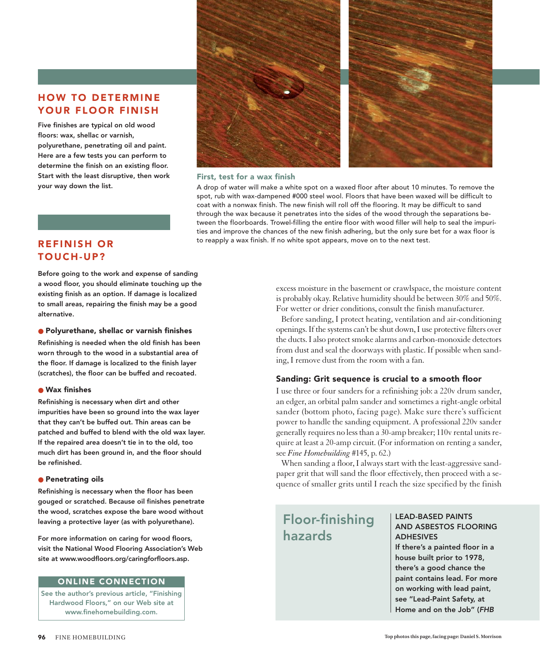# HOW TO DETERMINE YOUR FLOOR FINISH

Five finishes are typical on old wood floors: wax, shellac or varnish, polyurethane, penetrating oil and paint. Here are a few tests you can perform to determine the finish on an existing floor. Start with the least disruptive, then work your way down the list.





#### First, test for a wax finish

A drop of water will make a white spot on a waxed floor after about 10 minutes. To remove the spot, rub with wax-dampened #000 steel wool. Floors that have been waxed will be difficult to coat with a nonwax finish. The new finish will roll off the flooring. It may be difficult to sand through the wax because it penetrates into the sides of the wood through the separations between the floorboards. Trowel-filling the entire floor with wood filler will help to seal the impurities and improve the chances of the new finish adhering, but the only sure bet for a wax floor is to reapply a wax finish. If no white spot appears, move on to the next test.

# REFINISH OR TOUCH-UP?

Before going to the work and expense of sanding a wood floor, you should eliminate touching up the existing finish as an option. If damage is localized to small areas, repairing the finish may be a good alternative.

#### ● Polyurethane, shellac or varnish finishes

Refinishing is needed when the old finish has been worn through to the wood in a substantial area of the floor. If damage is localized to the finish layer (scratches), the floor can be buffed and recoated.

#### ● Wax finishes

Refinishing is necessary when dirt and other impurities have been so ground into the wax layer that they can't be buffed out. Thin areas can be patched and buffed to blend with the old wax layer. If the repaired area doesn't tie in to the old, too much dirt has been ground in, and the floor should be refinished.

#### ● Penetrating oils

Refinishing is necessary when the floor has been gouged or scratched. Because oil finishes penetrate the wood, scratches expose the bare wood without leaving a protective layer (as with polyurethane).

For more information on caring for wood floors, visit the National Wood Flooring Association's Web site at www.woodfloors.org/caringforfloors.asp.

#### ONLINE CONNECTION

See the author's previous article, "Finishing Hardwood Floors," on our Web site at www.finehomebuilding.com.

excess moisture in the basement or crawlspace, the moisture content is probably okay. Relative humidity should be between 30% and 50%. For wetter or drier conditions, consult the finish manufacturer.

Before sanding, I protect heating, ventilation and air-conditioning openings. If the systems can't be shut down, I use protective filters over the ducts. I also protect smoke alarms and carbon-monoxide detectors from dust and seal the doorways with plastic. If possible when sanding, I remove dust from the room with a fan.

#### Sanding: Grit sequence is crucial to a smooth floor

I use three or four sanders for a refinishing job: a 220v drum sander, an edger, an orbital palm sander and sometimes a right-angle orbital sander (bottom photo, facing page). Make sure there's sufficient power to handle the sanding equipment. A professional 220v sander generally requires no less than a 30-amp breaker; 110v rental units require at least a 20-amp circuit. (For information on renting a sander, see *Fine Homebuilding* #145, p. 62.)

When sanding a floor, I always start with the least-aggressive sandpaper grit that will sand the floor effectively, then proceed with a sequence of smaller grits until I reach the size specified by the finish

# Floor-finishing hazards

#### LEAD-BASED PAINTS AND ASBESTOS FLOORING ADHESIVES

If there's a painted floor in a house built prior to 1978, there's a good chance the paint contains lead. For more on working with lead paint, see "Lead-Paint Safety, at Home and on the Job" (*FHB*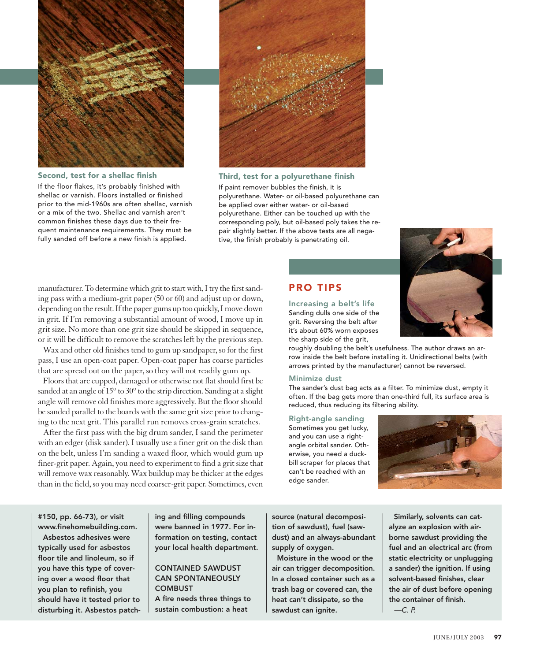

Second, test for a shellac finish

If the floor flakes, it's probably finished with shellac or varnish. Floors installed or finished prior to the mid-1960s are often shellac, varnish or a mix of the two. Shellac and varnish aren't common finishes these days due to their frequent maintenance requirements. They must be fully sanded off before a new finish is applied.



Third, test for a polyurethane finish If paint remover bubbles the finish, it is polyurethane. Water- or oil-based polyurethane can be applied over either water- or oil-based polyurethane. Either can be touched up with the corresponding poly, but oil-based poly takes the repair slightly better. If the above tests are all negative, the finish probably is penetrating oil.



manufacturer. To determine which grit to start with, I try the first sanding pass with a medium-grit paper (50 or 60) and adjust up or down, depending on the result. If the paper gums up too quickly, I move down in grit. If I'm removing a substantial amount of wood, I move up in grit size. No more than one grit size should be skipped in sequence, or it will be difficult to remove the scratches left by the previous step.

Wax and other old finishes tend to gum up sandpaper, so for the first pass, I use an open-coat paper. Open-coat paper has coarse particles that are spread out on the paper, so they will not readily gum up.

Floors that are cupped, damaged or otherwise not flat should first be sanded at an angle of 15° to 30° to the strip direction. Sanding at a slight angle will remove old finishes more aggressively. But the floor should be sanded parallel to the boards with the same grit size prior to changing to the next grit. This parallel run removes cross-grain scratches.

After the first pass with the big drum sander, I sand the perimeter with an edger (disk sander). I usually use a finer grit on the disk than on the belt, unless I'm sanding a waxed floor, which would gum up finer-grit paper. Again, you need to experiment to find a grit size that will remove wax reasonably. Wax buildup may be thicker at the edges than in the field, so you may need coarser-grit paper. Sometimes, even

# PRO TIPS

Increasing a belt's life Sanding dulls one side of the grit. Reversing the belt after it's about 60% worn exposes the sharp side of the grit,

roughly doubling the belt's usefulness. The author draws an arrow inside the belt before installing it. Unidirectional belts (with arrows printed by the manufacturer) cannot be reversed.

#### Minimize dust

The sander's dust bag acts as a filter. To minimize dust, empty it often. If the bag gets more than one-third full, its surface area is reduced, thus reducing its filtering ability.

Right-angle sanding Sometimes you get lucky, and you can use a rightangle orbital sander. Otherwise, you need a duckbill scraper for places that can't be reached with an edge sander.



#150, pp. 66-73), or visit www.finehomebuilding.com.

Asbestos adhesives were typically used for asbestos floor tile and linoleum, so if you have this type of covering over a wood floor that you plan to refinish, you should have it tested prior to disturbing it. Asbestos patching and filling compounds were banned in 1977. For information on testing, contact your local health department.

#### CONTAINED SAWDUST CAN SPONTANEOUSLY **COMBUST**

A fire needs three things to sustain combustion: a heat

source (natural decomposition of sawdust), fuel (sawdust) and an always-abundant supply of oxygen.

Moisture in the wood or the air can trigger decomposition. In a closed container such as a trash bag or covered can, the heat can't dissipate, so the sawdust can ignite.

Similarly, solvents can catalyze an explosion with airborne sawdust providing the fuel and an electrical arc (from static electricity or unplugging a sander) the ignition. If using solvent-based finishes, clear the air of dust before opening the container of finish. *—C. P.*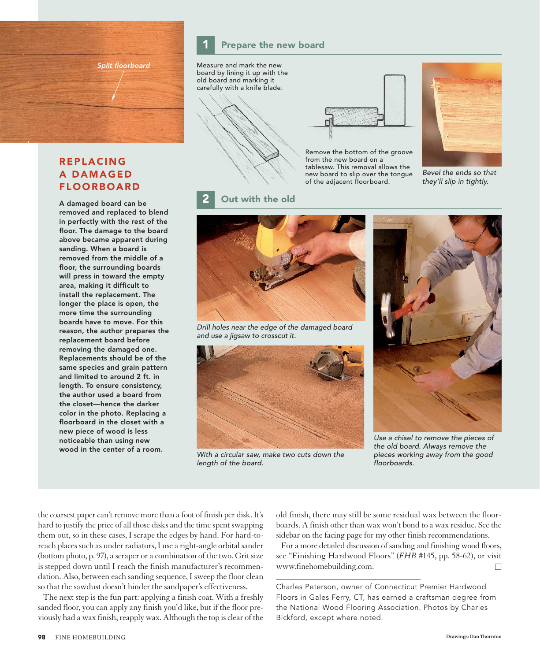*Split floorboard*

# REPLACING A DAMAGED FLOORBOARD

A damaged board can be removed and replaced to blend in perfectly with the rest of the floor. The damage to the board above became apparent during sanding. When a board is removed from the middle of a floor, the surrounding boards will press in toward the empty area, making it difficult to install the replacement. The longer the place is open, the more time the surrounding boards have to move. For this reason, the author prepares the replacement board before removing the damaged one. Replacements should be of the same species and grain pattern and limited to around 2 ft. in length. To ensure consistency, the author used a board from the closet—hence the darker color in the photo. Replacing a floorboard in the closet with a new piece of wood is less noticeable than using new wood in the center of a room.

Measure and mark the new board by lining it up with the old board and marking it carefully with a knife blade.

Prepare the new board





Remove the bottom of the groove from the new board on a tablesaw. This removal allows the new board to slip over the tongue of the adjacent floorboard.



*Bevel the ends so that they'll slip in tightly.* 

#### Out with the old



*Drill holes near the edge of the damaged board and use a jigsaw to crosscut it.*



*With a circular saw, make two cuts down the length of the board.* 



*Use a chisel to remove the pieces of the old board. Always remove the pieces working away from the good floorboards.* 

the coarsest paper can't remove more than a foot of finish per disk. It's hard to justify the price of all those disks and the time spent swapping them out, so in these cases, I scrape the edges by hand. For hard-toreach places such as under radiators, I use a right-angle orbital sander (bottom photo, p. 97), a scraper or a combination of the two. Grit size is stepped down until I reach the finish manufacturer's recommendation. Also, between each sanding sequence, I sweep the floor clean so that the sawdust doesn't hinder the sandpaper's effectiveness.

The next step is the fun part: applying a finish coat. With a freshly sanded floor, you can apply any finish you'd like, but if the floor previously had a wax finish, reapply wax. Although the top is clear of the old finish, there may still be some residual wax between the floorboards. A finish other than wax won't bond to a wax residue. See the sidebar on the facing page for my other finish recommendations.

For a more detailed discussion of sanding and finishing wood floors, see "Finishing Hardwood Floors" (*FHB* #145, pp. 58-62), or visit www.finehomebuilding.com.

Charles Peterson, owner of Connecticut Premier Hardwood Floors in Gales Ferry, CT, has earned a craftsman degree from the National Wood Flooring Association. Photos by Charles Bickford, except where noted.